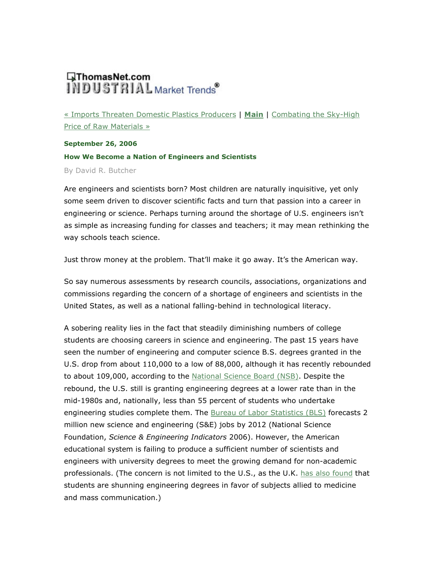## **QThomasNet.com**<br>INDUSTRIAL Market Trends

« Imports Threaten Domestic Plastics Producers | Main | Combating the Sky-High Price of Raw Materials »

**September 26, 2006** How We Become a Nation of Engineers and Scientists By David R. Butcher

Are engineers and scientists born? Most children are naturally inquisitive, yet only some seem driven to discover scientific facts and turn that passion into a career in engineering or science. Perhaps turning around the shortage of U.S. engineers isn't as simple as increasing funding for classes and teachers; it may mean rethinking the way schools teach science.

Just throw money at the problem. That'll make it go away. It's the American way.

So say numerous assessments by research councils, associations, organizations and commissions regarding the concern of a shortage of engineers and scientists in the United States, as well as a national falling-behind in technological literacy.

A sobering reality lies in the fact that steadily diminishing numbers of college students are choosing careers in science and engineering. The past 15 years have seen the number of engineering and computer science B.S. degrees granted in the U.S. drop from about 110,000 to a low of 88,000, although it has recently rebounded to about 109,000, according to the National Science Board (NSB). Despite the rebound, the U.S. still is granting engineering degrees at a lower rate than in the mid-1980s and, nationally, less than 55 percent of students who undertake engineering studies complete them. The Bureau of Labor Statistics (BLS) forecasts 2 million new science and engineering (S&E) jobs by 2012 (National Science Foundation, Science & Engineering Indicators 2006). However, the American educational system is failing to produce a sufficient number of scientists and engineers with university degrees to meet the growing demand for non-academic professionals. (The concern is not limited to the U.S., as the U.K. has also found that students are shunning engineering degrees in favor of subjects allied to medicine and mass communication.)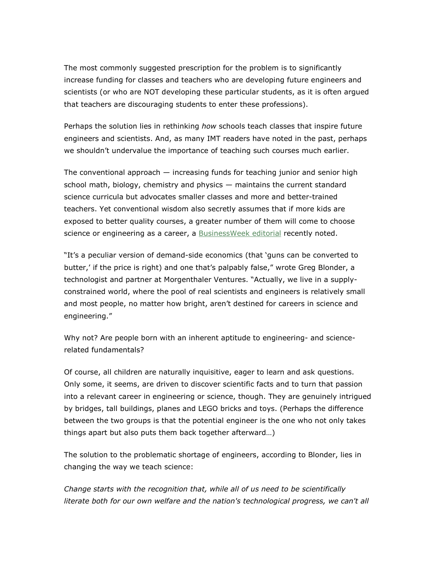The most commonly suggested prescription for the problem is to significantly increase funding for classes and teachers who are developing future engineers and scientists (or who are NOT developing these particular students, as it is often argued that teachers are discouraging students to enter these professions).

Perhaps the solution lies in rethinking how schools teach classes that inspire future engineers and scientists. And, as many IMT readers have noted in the past, perhaps we shouldn't undervalue the importance of teaching such courses much earlier.

The conventional approach  $-$  increasing funds for teaching junior and senior high school math, biology, chemistry and physics - maintains the current standard science curricula but advocates smaller classes and more and better-trained teachers. Yet conventional wisdom also secretly assumes that if more kids are exposed to better quality courses, a greater number of them will come to choose science or engineering as a career, a BusinessWeek editorial recently noted.

"It's a peculiar version of demand-side economics (that 'quns can be converted to butter,' if the price is right) and one that's palpably false," wrote Greg Blonder, a technologist and partner at Morgenthaler Ventures. "Actually, we live in a supplyconstrained world, where the pool of real scientists and engineers is relatively small and most people, no matter how bright, aren't destined for careers in science and engineering."

Why not? Are people born with an inherent aptitude to engineering- and sciencerelated fundamentals?

Of course, all children are naturally inquisitive, eager to learn and ask questions. Only some, it seems, are driven to discover scientific facts and to turn that passion into a relevant career in engineering or science, though. They are genuinely intrigued by bridges, tall buildings, planes and LEGO bricks and toys. (Perhaps the difference between the two groups is that the potential engineer is the one who not only takes things apart but also puts them back together afterward...)

The solution to the problematic shortage of engineers, according to Blonder, lies in changing the way we teach science:

Change starts with the recognition that, while all of us need to be scientifically literate both for our own welfare and the nation's technological progress, we can't all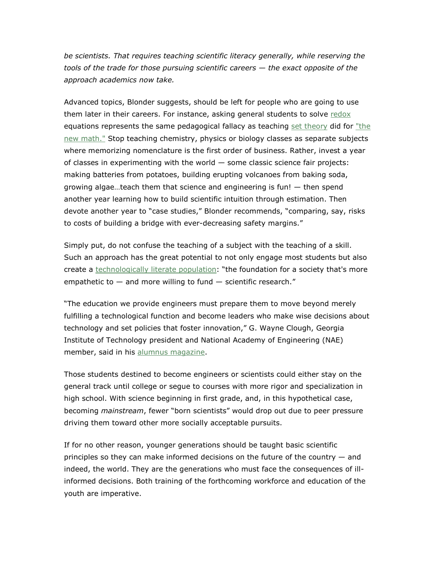be scientists. That requires teaching scientific literacy generally, while reserving the tools of the trade for those pursuing scientific careers  $-$  the exact opposite of the approach academics now take.

Advanced topics, Blonder suggests, should be left for people who are going to use them later in their careers. For instance, asking general students to solve redox equations represents the same pedagogical fallacy as teaching set theory did for "the new math." Stop teaching chemistry, physics or biology classes as separate subjects where memorizing nomenclature is the first order of business. Rather, invest a year of classes in experimenting with the world  $-$  some classic science fair projects: making batteries from potatoes, building erupting volcanoes from baking soda, growing algae...teach them that science and engineering is fun!  $-$  then spend another year learning how to build scientific intuition through estimation. Then devote another year to "case studies," Blonder recommends, "comparing, say, risks to costs of building a bridge with ever-decreasing safety margins."

Simply put, do not confuse the teaching of a subject with the teaching of a skill. Such an approach has the great potential to not only engage most students but also create a technologically literate population: "the foundation for a society that's more empathetic to  $-$  and more willing to fund  $-$  scientific research."

"The education we provide engineers must prepare them to move beyond merely fulfilling a technological function and become leaders who make wise decisions about technology and set policies that foster innovation," G. Wayne Clough, Georgia Institute of Technology president and National Academy of Engineering (NAE) member, said in his alumnus magazine.

Those students destined to become engineers or scientists could either stay on the general track until college or segue to courses with more rigor and specialization in high school. With science beginning in first grade, and, in this hypothetical case, becoming *mainstream*, fewer "born scientists" would drop out due to peer pressure driving them toward other more socially acceptable pursuits.

If for no other reason, younger generations should be taught basic scientific principles so they can make informed decisions on the future of the country  $-$  and indeed, the world. They are the generations who must face the consequences of illinformed decisions. Both training of the forthcoming workforce and education of the youth are imperative.